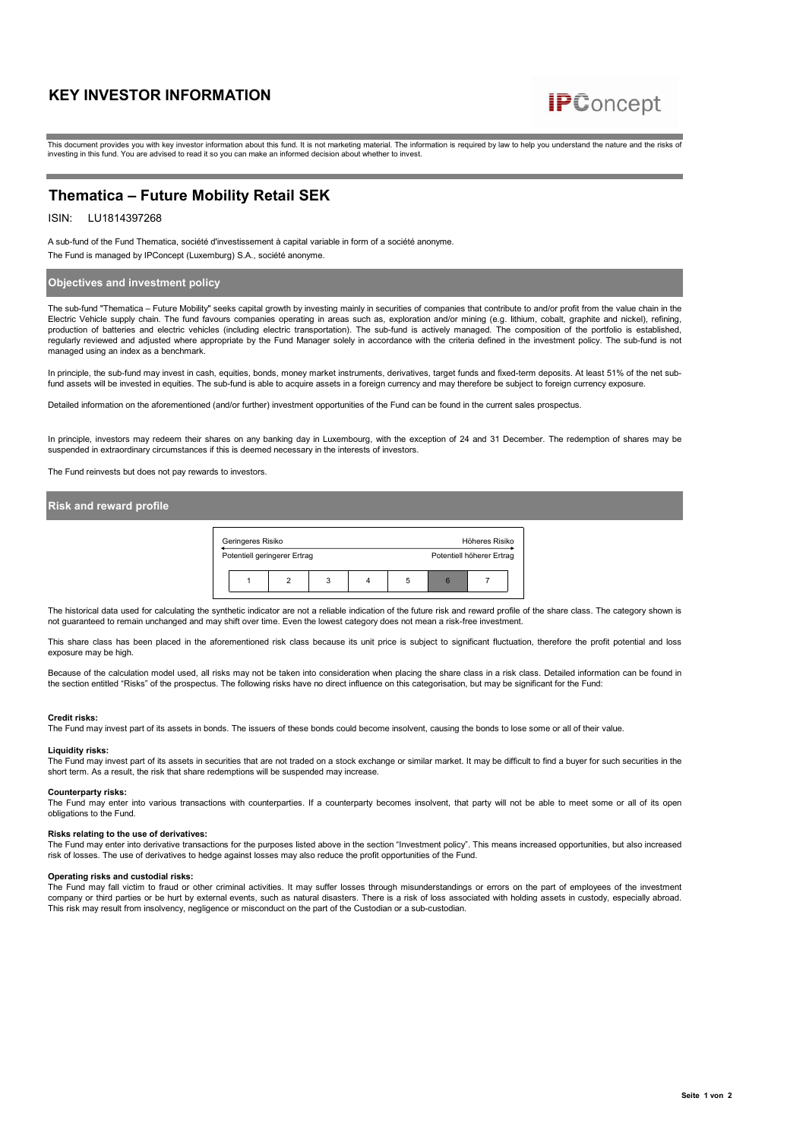# **KEY INVESTOR INFORMATION**



This document provides you with key investor information about this fund. It is not marketing material. The information is required by law to help you understand the nature and the risks of investing in this fund. You are advised to read it so you can make an informed decision about whether to invest.

# **Thematica – Future Mobility Retail SEK**

# ISIN: LU1814397268

A sub-fund of the Fund Thematica, société d'investissement à capital variable in form of a société anonyme. The Fund is managed by IPConcept (Luxemburg) S.A., société anonyme.

# **Objectives and investment policy**

The sub-fund "Thematica – Future Mobility" seeks capital growth by investing mainly in securities of companies that contribute to and/or profit from the value chain in the Electric Vehicle supply chain. The fund favours companies operating in areas such as, exploration and/or mining (e.g. lithium, cobalt, graphite and nickel), refining, production of batteries and electric vehicles (including electric transportation). The sub-fund is actively managed. The composition of the portfolio is established, regularly reviewed and adjusted where appropriate by the Fund Manager solely in accordance with the criteria defined in the investment policy. The sub-fund is not managed using an index as a benchmark.

In principle, the sub-fund may invest in cash, equities, bonds, money market instruments, derivatives, target funds and fixed-term deposits. At least 51% of the net subfund assets will be invested in equities. The sub-fund is able to acquire assets in a foreign currency and may therefore be subject to foreign currency exposure

Detailed information on the aforementioned (and/or further) investment opportunities of the Fund can be found in the current sales prospectus.

In principle, investors may redeem their shares on any banking day in Luxembourg, with the exception of 24 and 31 December. The redemption of shares may be suspended in extraordinary circumstances if this is deemed necessary in the interests of investors.

The Fund reinvests but does not pay rewards to investors.

## **Risk and reward profile**

| Geringeres Risiko            |   |                           |  | Höheres Risiko |  |
|------------------------------|---|---------------------------|--|----------------|--|
| Potentiell geringerer Ertrag |   | Potentiell höherer Ertrag |  |                |  |
|                              | 3 | h                         |  |                |  |

The historical data used for calculating the synthetic indicator are not a reliable indication of the future risk and reward profile of the share class. The category shown is not guaranteed to remain unchanged and may shift over time. Even the lowest category does not mean a risk-free investment.

This share class has been placed in the aforementioned risk class because its unit price is subject to significant fluctuation, therefore the profit potential and loss exposure may be high.

Because of the calculation model used, all risks may not be taken into consideration when placing the share class in a risk class. Detailed information can be found in the section entitled "Risks" of the prospectus. The following risks have no direct influence on this categorisation, but may be significant for the Fund:

# **Credit risks:**

The Fund may invest part of its assets in bonds. The issuers of these bonds could become insolvent, causing the bonds to lose some or all of their value.

#### **Liquidity risks:**

The Fund may invest part of its assets in securities that are not traded on a stock exchange or similar market. It may be difficult to find a buyer for such securities in the short term. As a result, the risk that share redemptions will be suspended may increase.

**Counterparty risks:**<br>The Fund may enter into various transactions with counterparties. If a counterparty becomes insolvent, that party will not be able to meet some or all of its open<br>obligations to the Fund.

#### **Risks relating to the use of derivatives:**

The Fund may enter into derivative transactions for the purposes listed above in the section "Investment policy". This means increased opportunities, but also increased<br>risk of losses. The use of derivatives to hedge again

#### **Operating risks and custodial risks:**

The Fund may fall victim to fraud or other criminal activities. It may suffer losses through misunderstandings or errors on the part of employees of the investment company or third parties or be hurt by external events, such as natural disasters. There is a risk of loss associated with holding assets in custody, especially abroad. This risk may result from insolvency, negligence or misconduct on the part of the Custodian or a sub-custodian.